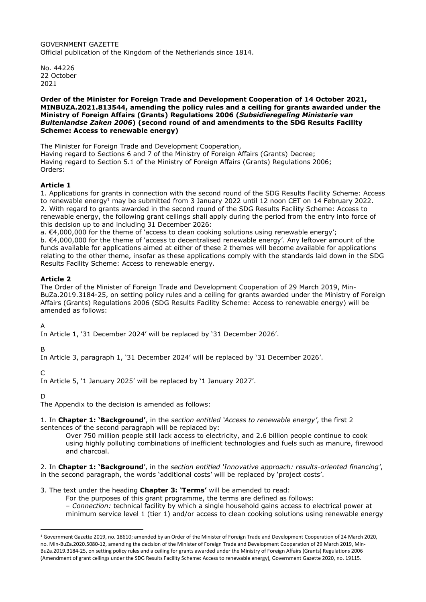GOVERNMENT GAZETTE Official publication of the Kingdom of the Netherlands since 1814.

No. 44226 22 October 2021

#### Order of the Minister for Foreign Trade and Development Cooperation of 14 October 2021, MINBUZA.2021.813544, amending the policy rules and a ceiling for grants awarded under the Ministry of Foreign Affairs (Grants) Regulations 2006 (Subsidieregeling Ministerie van Buitenlandse Zaken 2006) (second round of and amendments to the SDG Results Facility Scheme: Access to renewable energy)

The Minister for Foreign Trade and Development Cooperation, Having regard to Sections 6 and 7 of the Ministry of Foreign Affairs (Grants) Decree; Having regard to Section 5.1 of the Ministry of Foreign Affairs (Grants) Regulations 2006; Orders:

# Article 1

1. Applications for grants in connection with the second round of the SDG Results Facility Scheme: Access to renewable energy<sup>1</sup> may be submitted from 3 January 2022 until 12 noon CET on 14 February 2022. 2. With regard to grants awarded in the second round of the SDG Results Facility Scheme: Access to renewable energy, the following grant ceilings shall apply during the period from the entry into force of this decision up to and including 31 December 2026:

a. €4,000,000 for the theme of 'access to clean cooking solutions using renewable energy'; b. €4,000,000 for the theme of 'access to decentralised renewable energy'. Any leftover amount of the funds available for applications aimed at either of these 2 themes will become available for applications relating to the other theme, insofar as these applications comply with the standards laid down in the SDG Results Facility Scheme: Access to renewable energy.

## Article 2

The Order of the Minister of Foreign Trade and Development Cooperation of 29 March 2019, Min-BuZa.2019.3184-25, on setting policy rules and a ceiling for grants awarded under the Ministry of Foreign Affairs (Grants) Regulations 2006 (SDG Results Facility Scheme: Access to renewable energy) will be amended as follows:

A

In Article 1, '31 December 2024' will be replaced by '31 December 2026'.

B

In Article 3, paragraph 1, '31 December 2024' will be replaced by '31 December 2026'.

 $\Gamma$ 

In Article 5, '1 January 2025' will be replaced by '1 January 2027'.

D

The Appendix to the decision is amended as follows:

1. In Chapter 1: 'Background', in the section entitled 'Access to renewable energy', the first 2 sentences of the second paragraph will be replaced by:

Over 750 million people still lack access to electricity, and 2.6 billion people continue to cook using highly polluting combinations of inefficient technologies and fuels such as manure, firewood and charcoal.

2. In Chapter 1: 'Background', in the section entitled 'Innovative approach: results-oriented financing', in the second paragraph, the words 'additional costs' will be replaced by 'project costs'.

3. The text under the heading Chapter 3: 'Terms' will be amended to read:

For the purposes of this grant programme, the terms are defined as follows: – Connection: technical facility by which a single household gains access to electrical power at minimum service level 1 (tier 1) and/or access to clean cooking solutions using renewable energy

<sup>&</sup>lt;sup>1</sup> Government Gazette 2019, no. 18610; amended by an Order of the Minister of Foreign Trade and Development Cooperation of 24 March 2020, no. Min-BuZa.2020.5080-12, amending the decision of the Minister of Foreign Trade and Development Cooperation of 29 March 2019, Min-BuZa.2019.3184-25, on setting policy rules and a ceiling for grants awarded under the Ministry of Foreign Affairs (Grants) Regulations 2006 (Amendment of grant ceilings under the SDG Results Facility Scheme: Access to renewable energy), Government Gazette 2020, no. 19115.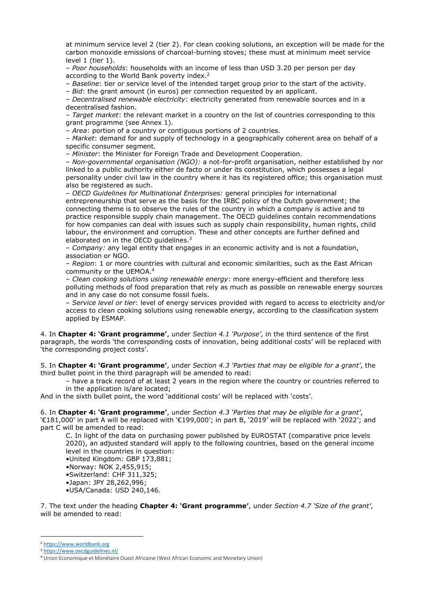at minimum service level 2 (tier 2). For clean cooking solutions, an exception will be made for the carbon monoxide emissions of charcoal-burning stoves; these must at minimum meet service level 1 (tier 1).

– Poor households: households with an income of less than USD 3.20 per person per day according to the World Bank poverty index.<sup>2</sup>

– Baseline: tier or service level of the intended target group prior to the start of the activity.

– Bid: the grant amount (in euros) per connection requested by an applicant.

– Decentralised renewable electricity: electricity generated from renewable sources and in a decentralised fashion.

– Target market: the relevant market in a country on the list of countries corresponding to this grant programme (see Annex 1).

– Area: portion of a country or contiguous portions of 2 countries.

– Market: demand for and supply of technology in a geographically coherent area on behalf of a specific consumer segment.

– Minister: the Minister for Foreign Trade and Development Cooperation.

– Non-governmental organisation (NGO): a not-for-profit organisation, neither established by nor linked to a public authority either de facto or under its constitution, which possesses a legal personality under civil law in the country where it has its registered office; this organisation must also be registered as such.

– OECD Guidelines for Multinational Enterprises: general principles for international entrepreneurship that serve as the basis for the IRBC policy of the Dutch government; the connecting theme is to observe the rules of the country in which a company is active and to practice responsible supply chain management. The OECD guidelines contain recommendations for how companies can deal with issues such as supply chain responsibility, human rights, child labour, the environment and corruption. These and other concepts are further defined and elaborated on in the OECD quidelines.<sup>3</sup>

– Company: any legal entity that engages in an economic activity and is not a foundation, association or NGO.

– Region: 1 or more countries with cultural and economic similarities, such as the East African community or the UEMOA.<sup>4</sup>

– Clean cooking solutions using renewable energy: more energy-efficient and therefore less polluting methods of food preparation that rely as much as possible on renewable energy sources and in any case do not consume fossil fuels.

– Service level or tier: level of energy services provided with regard to access to electricity and/or access to clean cooking solutions using renewable energy, according to the classification system applied by ESMAP.

4. In Chapter 4: 'Grant programme', under Section 4.1 'Purpose', in the third sentence of the first paragraph, the words 'the corresponding costs of innovation, being additional costs' will be replaced with 'the corresponding project costs'.

5. In Chapter 4: 'Grant programme', under Section 4.3 'Parties that may be eligible for a grant', the third bullet point in the third paragraph will be amended to read:

– have a track record of at least 2 years in the region where the country or countries referred to in the application is/are located;

And in the sixth bullet point, the word 'additional costs' will be replaced with 'costs'.

6. In Chapter 4: 'Grant programme', under Section 4.3 'Parties that may be eligible for a grant', '€181,000' in part A will be replaced with '€199,000'; in part B, '2019' will be replaced with '2022'; and part C will be amended to read:

C. In light of the data on purchasing power published by EUROSTAT (comparative price levels 2020), an adjusted standard will apply to the following countries, based on the general income level in the countries in question:

•United Kingdom: GBP 173,881;

•Norway: NOK 2,455,915;

•Switzerland: CHF 311,325;

•Japan: JPY 28,262,996;

•USA/Canada: USD 240,146.

7. The text under the heading **Chapter 4: 'Grant programme'**, under Section 4.7 'Size of the grant', will be amended to read:

<sup>2</sup> https://www.worldbank.org

<sup>3</sup> https://www.oecdguidelines.nl/

<sup>4</sup> Union Economique et Monétaire Ouest Africaine (West African Economic and Monetary Union)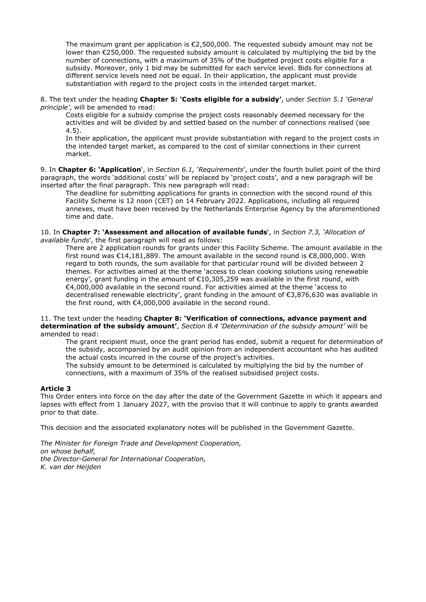The maximum grant per application is €2,500,000. The requested subsidy amount may not be lower than €250,000. The requested subsidy amount is calculated by multiplying the bid by the number of connections, with a maximum of 35% of the budgeted project costs eligible for a subsidy. Moreover, only 1 bid may be submitted for each service level. Bids for connections at different service levels need not be equal. In their application, the applicant must provide substantiation with regard to the project costs in the intended target market.

8. The text under the heading Chapter 5: 'Costs eligible for a subsidy', under Section 5.1 'General principle', will be amended to read:

Costs eligible for a subsidy comprise the project costs reasonably deemed necessary for the activities and will be divided by and settled based on the number of connections realised (see 4.5).

In their application, the applicant must provide substantiation with regard to the project costs in the intended target market, as compared to the cost of similar connections in their current market.

9. In Chapter 6: 'Application', in Section 6.1, 'Requirements', under the fourth bullet point of the third paragraph, the words 'additional costs' will be replaced by 'project costs', and a new paragraph will be inserted after the final paragraph. This new paragraph will read:

The deadline for submitting applications for grants in connection with the second round of this Facility Scheme is 12 noon (CET) on 14 February 2022. Applications, including all required annexes, must have been received by the Netherlands Enterprise Agency by the aforementioned time and date.

10. In Chapter 7: 'Assessment and allocation of available funds', in Section 7.3, 'Allocation of available funds', the first paragraph will read as follows:

There are 2 application rounds for grants under this Facility Scheme. The amount available in the first round was €14,181,889. The amount available in the second round is €8,000,000. With regard to both rounds, the sum available for that particular round will be divided between 2 themes. For activities aimed at the theme 'access to clean cooking solutions using renewable energy', grant funding in the amount of €10,305,259 was available in the first round, with €4,000,000 available in the second round. For activities aimed at the theme 'access to decentralised renewable electricity', grant funding in the amount of €3,876,630 was available in the first round, with €4,000,000 available in the second round.

### 11. The text under the heading Chapter 8: 'Verification of connections, advance payment and determination of the subsidy amount', Section 8.4 'Determination of the subsidy amount' will be amended to read:

The grant recipient must, once the grant period has ended, submit a request for determination of the subsidy, accompanied by an audit opinion from an independent accountant who has audited the actual costs incurred in the course of the project's activities. The subsidy amount to be determined is calculated by multiplying the bid by the number of

connections, with a maximum of 35% of the realised subsidised project costs.

## Article 3

This Order enters into force on the day after the date of the Government Gazette in which it appears and lapses with effect from 1 January 2027, with the proviso that it will continue to apply to grants awarded prior to that date.

This decision and the associated explanatory notes will be published in the Government Gazette.

The Minister for Foreign Trade and Development Cooperation, on whose behalf, the Director-General for International Cooperation, K. van der Heijden